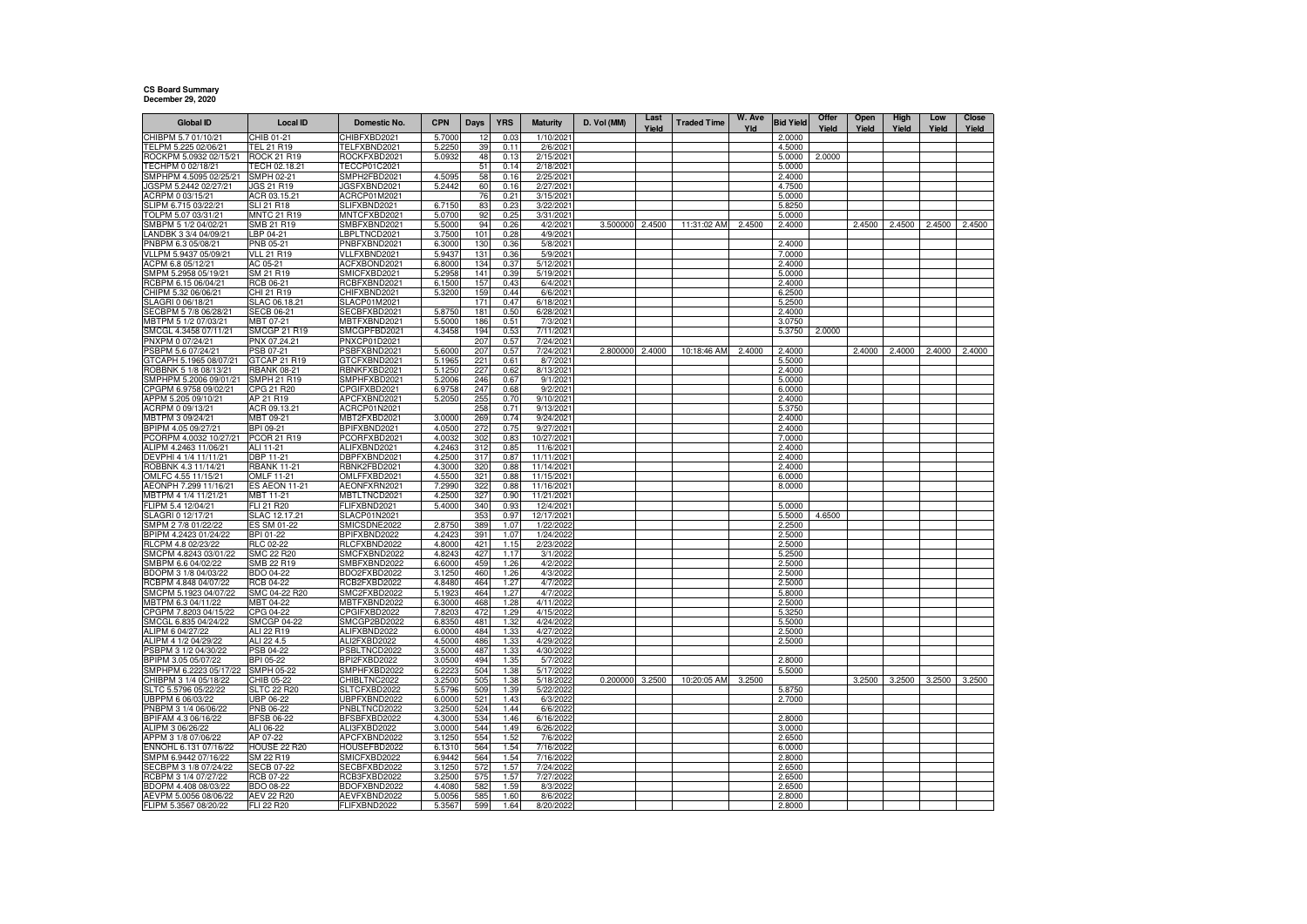## **CS Board Summary December 29, 2020**

| <b>Global ID</b>                                | <b>Local ID</b>                 | Domestic No.                 | <b>CPN</b>       | Days       | <b>YRS</b>   | <b>Maturity</b>         | D. Vol (MM) | Last<br>Yield | <b>Traded Time</b> | W. Ave<br>Yld | <b>Bid Yield</b> | Offer<br>Yield | Open<br>Yield | High<br>Yield | Low<br>Yield | Close<br>Yield |
|-------------------------------------------------|---------------------------------|------------------------------|------------------|------------|--------------|-------------------------|-------------|---------------|--------------------|---------------|------------------|----------------|---------------|---------------|--------------|----------------|
| CHIBPM 5.7 01/10/21                             | HIB 01-21                       | CHIBFXBD2021                 | 5.7000           | 12         | 0.03         | 1/10/202                |             |               |                    |               | 2.0000           |                |               |               |              |                |
| TELPM 5.225 02/06/21                            | TEL 21 R19                      | TELFXBND2021                 | 5.2250           | 39         | 0.11         | 2/6/2021                |             |               |                    |               | 4.5000           |                |               |               |              |                |
| ROCKPM 5.0932 02/15/21                          | ROCK 21 R19                     | ROCKFXBD2021                 | 5.093            | 48         | 0.13         | 2/15/2021               |             |               |                    |               | 5.0000           | 2.0000         |               |               |              |                |
| TECHPM 0 02/18/21                               | TECH 02.18.21                   | TECCP01C2021                 |                  | 51         | 0.14         | 2/18/2021               |             |               |                    |               | 5.0000           |                |               |               |              |                |
| SMPHPM 4.5095 02/25/21                          | SMPH 02-21                      | SMPH2FBD2021                 | 4.5095           | 58         | 0.16         | 2/25/2021               |             |               |                    |               | 2.4000           |                |               |               |              |                |
| JGSPM 5.2442 02/27/21<br>ACRPM 0 03/15/21       | JGS 21 R19<br>ACR 03.15.21      | JGSFXBND2021<br>ACRCP01M2021 | 5.2442           | 60<br>76   | 0.16<br>0.21 | 2/27/2021<br>3/15/202   |             |               |                    |               | 4.7500<br>5.0000 |                |               |               |              |                |
| SLIPM 6.715 03/22/2                             | SLI 21 R18                      | SLIFXBND2021                 | 6.7150           | 83         | 0.23         | 3/22/2021               |             |               |                    |               | 5.8250           |                |               |               |              |                |
| TOLPM 5.07 03/31/21                             | MNTC 21 R19                     | MNTCFXBD2021                 | 5.0700           | 92         | 0.25         | 3/31/2021               |             |               |                    |               | 5.0000           |                |               |               |              |                |
| SMBPM 5 1/2 04/02/21                            | SMB 21 R19                      | SMBFXBND2021                 | 5.5000           | 94         | 0.26         | 4/2/2021                | 3.500000    | 2.4500        | 11:31:02 AM        | 2.4500        | 2.4000           |                | 2.4500        | 2.4500        | 2.4500       | 2.4500         |
| ANDBK 3 3/4 04/09/21                            | LBP 04-21                       | LBPLTNCD2021                 | 3.7500           | 101        | 0.28         | 4/9/2021                |             |               |                    |               |                  |                |               |               |              |                |
| PNBPM 6.3 05/08/21                              | PNB 05-21                       | PNBFXBND2021                 | 6.3000           | 130        | 0.36         | 5/8/2021                |             |               |                    |               | 2.4000           |                |               |               |              |                |
| VLLPM 5.9437 05/09/21                           | <b>VLL 21 R19</b>               | VLLFXBND2021                 | 5.9437           | 131        | 0.36         | 5/9/2021                |             |               |                    |               | 7.0000           |                |               |               |              |                |
| ACPM 6.8 05/12/21<br>SMPM 5.2958 05/19/21       | AC 05-21<br>SM 21 R19           | ACFXBOND2021<br>SMICFXBD2021 | 6.8000<br>5.2958 | 134<br>141 | 0.37<br>0.39 | 5/12/2021<br>5/19/2021  |             |               |                    |               | 2.4000<br>5.0000 |                |               |               |              |                |
| RCBPM 6.15 06/04/21                             | RCB 06-21                       | RCBFXBND2021                 | 6.1500           | 157        | 0.43         | 6/4/2021                |             |               |                    |               | 2.4000           |                |               |               |              |                |
| CHIPM 5.32 06/06/21                             | CHI 21 R19                      | CHIFXBND2021                 | 5.3200           | 159        | 0.44         | 6/6/2021                |             |               |                    |               | 6.2500           |                |               |               |              |                |
| SLAGRI 0 06/18/21                               | SLAC 06.18.21                   | SLACP01M2021                 |                  | 171        | 0.47         | 6/18/2021               |             |               |                    |               | 5.2500           |                |               |               |              |                |
| SECBPM 5 7/8 06/28/21                           | <b>SECB 06-21</b>               | SECBFXBD2021                 | 5.8750           | 181        | 0.50         | 6/28/2021               |             |               |                    |               | 2.4000           |                |               |               |              |                |
| MBTPM 5 1/2 07/03/21                            | MBT 07-21                       | MBTFXBND2021                 | 5.5000           | 186        | 0.51         | 7/3/2021                |             |               |                    |               | 3.0750           |                |               |               |              |                |
| SMCGL 4.3458 07/11/21                           | SMCGP 21 R19                    | SMCGPFBD2021                 | 4.3458           | 194        | 0.53         | 7/11/2021               |             |               |                    |               | 5.3750           | 2.0000         |               |               |              |                |
| PNXPM 0 07/24/21                                | PNX 07.24.21                    | PNXCP01D2021                 |                  | 207        | 0.57         | 7/24/2021               |             |               |                    |               |                  |                |               |               |              |                |
| PSBPM 5.6 07/24/21<br>GTCAPH 5.1965 08/07/21    | PSB 07-21<br>GTCAP 21 R19       | PSBFXBND2021<br>GTCFXBND2021 | 5.6000<br>5.1965 | 207<br>221 | 0.57<br>0.61 | 7/24/2021<br>8/7/2021   | 2.800000    | 2.4000        | 10:18:46 AM        | 2.4000        | 2.4000<br>5.5000 |                | 2.4000        | 2.4000        | 2.4000       | 2.4000         |
| ROBBNK 5 1/8 08/13/21                           | <b>RBANK 08-21</b>              | RBNKFXBD2021                 | 5.1250           | 227        | 0.62         | 8/13/2021               |             |               |                    |               | 2.4000           |                |               |               |              |                |
| SMPHPM 5.2006 09/01/21                          | <b>SMPH 21 R19</b>              | SMPHFXBD2021                 | 5.2006           | 246        | 0.67         | 9/1/2021                |             |               |                    |               | 5.0000           |                |               |               |              |                |
| CPGPM 6.9758 09/02/21                           | CPG 21 R20                      | CPGIFXBD2021                 | 6.9758           | 247        | 0.68         | 9/2/2021                |             |               |                    |               | 6.0000           |                |               |               |              |                |
| APPM 5.205 09/10/21                             | AP 21 R19                       | APCFXBND2021                 | 5.2050           | 255        | 0.70         | 9/10/2021               |             |               |                    |               | 2.4000           |                |               |               |              |                |
| ACRPM 0 09/13/21                                | ACR 09.13.21                    | ACRCP01N2021                 |                  | 258        | 0.71         | 9/13/2021               |             |               |                    |               | 5.3750           |                |               |               |              |                |
| MBTPM 3 09/24/21                                | MBT 09-21                       | MBT2FXBD2021                 | 3.0000           | 269        | 0.74         | 9/24/2021               |             |               |                    |               | 2.4000           |                |               |               |              |                |
| BPIPM 4.05 09/27/21                             | BPI 09-21<br>PCOR 21 R19        | BPIFXBND2021                 | 4.0500           | 272        | 0.75         | 9/27/2021               |             |               |                    |               | 2.4000           |                |               |               |              |                |
| PCORPM 4.0032 10/27/21<br>ALIPM 4.2463 11/06/21 | ALI 11-21                       | PCORFXBD2021<br>ALIFXBND2021 | 4.0032<br>4.2463 | 302<br>312 | 0.83<br>0.85 | 10/27/2021<br>11/6/2021 |             |               |                    |               | 7.0000<br>2.4000 |                |               |               |              |                |
| DEVPHI 4 1/4 11/11/21                           | DBP 11-21                       | DBPFXBND2021                 | 4.2500           | 317        | 0.87         | 11/11/2021              |             |               |                    |               | 2.4000           |                |               |               |              |                |
| ROBBNK 4.3 11/14/21                             | <b>RBANK 11-21</b>              | RBNK2FBD2021                 | 4.3000           | 320        | 0.88         | 11/14/2021              |             |               |                    |               | 2.4000           |                |               |               |              |                |
| OMLFC 4.55 11/15/21                             | OMLF 11-21                      | OMLFFXBD2021                 | 4.5500           | 321        | 0.88         | 11/15/2021              |             |               |                    |               | 6.0000           |                |               |               |              |                |
| AEONPH 7.299 11/16/21                           | <b>ES AEON 11-21</b>            | AEONFXRN2021                 | 7.2990           | 322        | 0.88         | 11/16/2021              |             |               |                    |               | 8.0000           |                |               |               |              |                |
| MBTPM 4 1/4 11/21/21                            | MBT 11-21                       | MBTLTNCD2021                 | 4.2500           | 327        | 0.90         | 11/21/2021              |             |               |                    |               |                  |                |               |               |              |                |
| FLIPM 5.4 12/04/21                              | FLI 21 R20                      | FLIFXBND2021                 | 5.4000           | 340        | 0.93         | 12/4/2021               |             |               |                    |               | 5.0000           |                |               |               |              |                |
| SLAGRI 0 12/17/21<br>SMPM 2 7/8 01/22/22        | SLAC 12.17.21<br>ES SM 01-22    | SLACP01N2021<br>SMICSDNE2022 | 2.8750           | 353<br>389 | 0.97<br>1.07 | 12/17/2021              |             |               |                    |               | 5.5000<br>2.2500 | 4.6500         |               |               |              |                |
| BPIPM 4.2423 01/24/22                           | BPI 01-22                       | BPIFXBND2022                 | 4.2423           | 391        | 1.07         | 1/22/2022<br>1/24/2022  |             |               |                    |               | 2.5000           |                |               |               |              |                |
| RLCPM 4.8 02/23/22                              | RLC 02-22                       | RLCFXBND2022                 | 4.8000           | 421        | 1.15         | 2/23/2022               |             |               |                    |               | 2.5000           |                |               |               |              |                |
| SMCPM 4.8243 03/01/22                           | <b>SMC 22 R20</b>               | SMCFXBND2022                 | 4.8243           | 427        | 1.17         | 3/1/2022                |             |               |                    |               | 5.2500           |                |               |               |              |                |
| SMBPM 6.6 04/02/22                              | SMB 22 R19                      | SMBFXBND2022                 | 6.6000           | 459        | 1.26         | 4/2/2022                |             |               |                    |               | 2.5000           |                |               |               |              |                |
| BDOPM 3 1/8 04/03/22                            | BDO 04-22                       | BDO2FXBD2022                 | 3.1250           | 460        | 1.26         | 4/3/2022                |             |               |                    |               | 2.5000           |                |               |               |              |                |
| RCBPM 4.848 04/07/22                            | RCB 04-22                       | RCB2FXBD2022                 | 4.8480           | 464        | 1.27         | 4/7/2022                |             |               |                    |               | 2.5000           |                |               |               |              |                |
| SMCPM 5.1923 04/07/22                           | SMC 04-22 R20                   | SMC2FXBD2022                 | 5.1923           | 464        | 1.27         | 4/7/2022                |             |               |                    |               | 5.8000           |                |               |               |              |                |
| MBTPM 6.3 04/11/22<br>CPGPM 7.8203 04/15/22     | MBT 04-22<br>CPG 04-22          | MBTFXBND2022<br>CPGIFXBD2022 | 6.3000<br>7.8203 | 468<br>472 | 1.28<br>1.29 | 4/11/2022<br>4/15/2022  |             |               |                    |               | 2.5000<br>5.3250 |                |               |               |              |                |
| SMCGL 6.835 04/24/22                            | SMCGP 04-22                     | SMCGP2BD2022                 | 6.8350           | 481        | 1.32         | 4/24/2022               |             |               |                    |               | 5.5000           |                |               |               |              |                |
| ALIPM 6 04/27/22                                | ALI 22 R19                      | ALIFXBND2022                 | 6.0000           | 484        | 1.33         | 4/27/2022               |             |               |                    |               | 2.5000           |                |               |               |              |                |
| ALIPM 4 1/2 04/29/22                            | ALI 22 4.5                      | ALI2FXBD2022                 | 4.5000           | 486        | 1.33         | 4/29/2022               |             |               |                    |               | 2.5000           |                |               |               |              |                |
| PSBPM 3 1/2 04/30/22                            | PSB 04-22                       | PSBLTNCD2022                 | 3.5000           | 487        | 1.33         | 4/30/2022               |             |               |                    |               |                  |                |               |               |              |                |
| BPIPM 3.05 05/07/22                             | BPI 05-22                       | BPI2FXBD2022                 | 3.0500           | 494        | 1.35         | 5/7/2022                |             |               |                    |               | 2.8000           |                |               |               |              |                |
| SMPHPM 6.2223 05/17/22                          | <b>SMPH 05-22</b>               | SMPHFXBD2022                 | 6.2223           | 504        | 1.38         | 5/17/2022               |             |               |                    |               | 5.5000           |                |               |               |              |                |
| CHIBPM 3 1/4 05/18/22                           | CHIB 05-22                      | CHIBLTNC2022                 | 3.2500           | 505<br>509 | 1.38         | 5/18/2022               | 0.200000    | 3.2500        | 10:20:05 AM        | 3.2500        |                  |                | 3.2500        | 3.2500        | 3.2500       | 3.2500         |
| SLTC 5.5796 05/22/22<br>JBPPM 6 06/03/22        | SLTC 22 R20<br><b>JBP 06-22</b> | SLTCFXBD2022<br>UBPFXBND2022 | 5.5796<br>6.000  | 521        | 1.39<br>1.43 | 5/22/2022<br>6/3/2022   |             |               |                    |               | 5.8750<br>2.7000 |                |               |               |              |                |
| PNBPM 3 1/4 06/06/22                            | PNB 06-22                       | PNBLTNCD2022                 | 3.2500           | 524        | 1.44         | 6/6/2022                |             |               |                    |               |                  |                |               |               |              |                |
| BPIFAM 4.3 06/16/22                             | <b>BFSB 06-22</b>               | BFSBFXBD2022                 | 4.3000           | 534        | 1.46         | 6/16/2022               |             |               |                    |               | 2.8000           |                |               |               |              |                |
| ALIPM 3 06/26/22                                | ALI 06-22                       | ALI3FXBD2022                 | 3.0000           | 544        | 1.49         | 6/26/2022               |             |               |                    |               | 3.0000           |                |               |               |              |                |
| APPM 3 1/8 07/06/22                             | AP 07-22                        | APCFXBND2022                 | 3.1250           | 554        | 1.52         | 7/6/2022                |             |               |                    |               | 2.6500           |                |               |               |              |                |
| ENNOHL 6.131 07/16/22                           | HOUSE 22 R20                    | HOUSEFBD2022                 | 6.1310           | 564        | 1.54         | 7/16/2022               |             |               |                    |               | 6.0000           |                |               |               |              |                |
| SMPM 6.9442 07/16/22                            | SM 22 R19                       | SMICFXBD2022                 | 6.9442           | 564        | 1.54         | 7/16/202                |             |               |                    |               | 2.8000           |                |               |               |              |                |
| SECBPM 3 1/8 07/24/22<br>RCBPM 3 1/4 07/27/22   | <b>SECB 07-22</b>               | SECBFXBD2022                 | 3.1250           | 572        | 1.57<br>1.57 | 7/24/2022               |             |               |                    |               | 2.6500           |                |               |               |              |                |
| BDOPM 4.408 08/03/22                            | RCB 07-22<br>BDO 08-22          | RCB3FXBD2022<br>BDOFXBND2022 | 3.2500<br>4.4080 | 575<br>582 | 1.59         | 7/27/2022<br>8/3/2022   |             |               |                    |               | 2.6500<br>2.6500 |                |               |               |              |                |
| AEVPM 5.0056 08/06/22                           | <b>AEV 22 R20</b>               | AEVFXBND2022                 | 5.0056           | 585        | 1.60         | 8/6/2022                |             |               |                    |               | 2.8000           |                |               |               |              |                |
| FLIPM 5.3567 08/20/22                           | FLI 22 R20                      | FLIFXBND2022                 | 5.3567           | 599        | 1.64         | 8/20/2022               |             |               |                    |               | 2.8000           |                |               |               |              |                |
|                                                 |                                 |                              |                  |            |              |                         |             |               |                    |               |                  |                |               |               |              |                |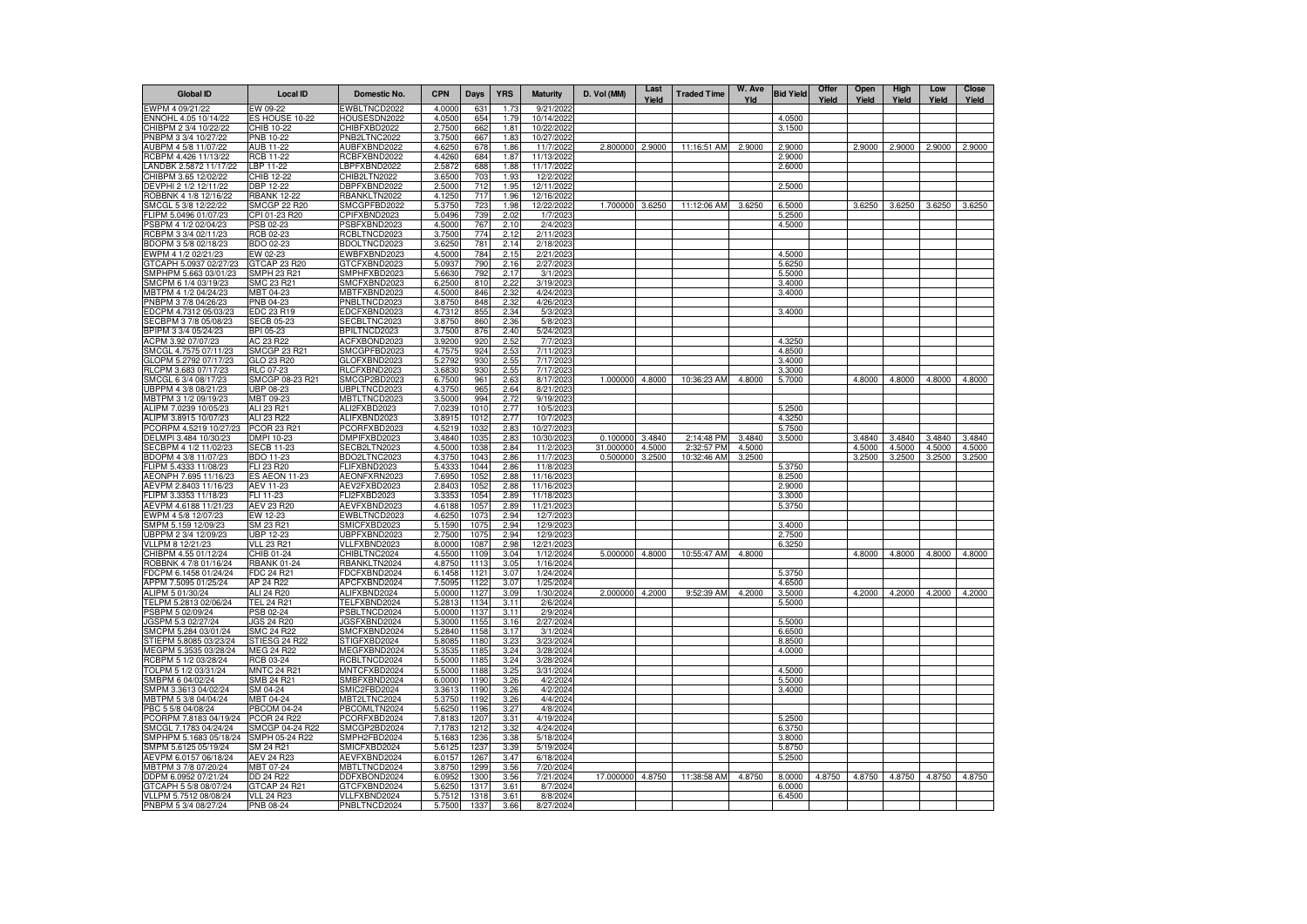| <b>Global ID</b>                              | <b>Local ID</b>                  | Domestic No.                 | <b>CPN</b>       | Days         | <b>YRS</b>       | <b>Maturity</b>         | D. Vol (MM)           | Last<br>Yield    | <b>Traded Time</b>        | W. Ave<br>Yld    | <b>Bid Yield</b> | Offer<br>Yield | Open<br>Yield    | High<br>Yield    | Low<br>Yield     | <b>Close</b><br>Yield |
|-----------------------------------------------|----------------------------------|------------------------------|------------------|--------------|------------------|-------------------------|-----------------------|------------------|---------------------------|------------------|------------------|----------------|------------------|------------------|------------------|-----------------------|
| EWPM 4 09/21/22                               | EW 09-22                         | EWBLTNCD2022                 | 4.0000           | 63           | 1.7 <sup>′</sup> | 9/21/202                |                       |                  |                           |                  |                  |                |                  |                  |                  |                       |
| ENNOHL 4.05 10/14/22                          | ES HOUSE 10-22                   | HOUSESDN2022                 | 4.0500           | 654          | 1.79             | 10/14/2022              |                       |                  |                           |                  | 4.0500           |                |                  |                  |                  |                       |
| CHIBPM 2 3/4 10/22/22                         | CHIB 10-22                       | CHIBFXBD2022                 | 2.7500           | 662          | 1.81             | 10/22/2022              |                       |                  |                           |                  | 3.1500           |                |                  |                  |                  |                       |
| PNBPM 3 3/4 10/27/22<br>AUBPM 4 5/8 11/07/22  | PNB 10-22<br>AUB 11-22           | PNB2LTNC2022<br>AUBFXBND2022 | 3.7500<br>4.6250 | 667<br>678   | 1.83<br>1.86     | 10/27/2022<br>11/7/2022 | 2.800000              | 2.9000           | 11:16:51 AM               | 2.9000           | 2,9000           |                | 2.9000           | 2.9000           | 2.9000           | 2.9000                |
| RCBPM 4.426 11/13/22                          | <b>RCB 11-22</b>                 | RCBFXBND2022                 | 4.4260           | 684          | 1.87             | 11/13/2022              |                       |                  |                           |                  | 2.9000           |                |                  |                  |                  |                       |
| LANDBK 2.5872 11/17/22                        | LBP 11-22                        | LBPFXBND2022                 | 2.5872           | 688          | 1.88             | 11/17/2022              |                       |                  |                           |                  | 2.6000           |                |                  |                  |                  |                       |
| CHIBPM 3.65 12/02/22                          | CHIB 12-22                       | CHIB2LTN2022                 | 3.6500           | 703          | 1.93             | 12/2/2022               |                       |                  |                           |                  |                  |                |                  |                  |                  |                       |
| DEVPHI 2 1/2 12/11/22                         | <b>DBP 12-22</b>                 | DBPFXBND2022                 | 2.5000           | 712          | 1.95             | 12/11/2022              |                       |                  |                           |                  | 2.5000           |                |                  |                  |                  |                       |
| ROBBNK 4 1/8 12/16/22                         | <b>RBANK 12-22</b>               | RBANKLTN2022                 | 4.1250           | 717          | 1.96             | 12/16/2022              |                       |                  |                           |                  |                  |                |                  |                  |                  |                       |
| SMCGL 5 3/8 12/22/22                          | <b>SMCGP 22 R20</b>              | SMCGPFBD2022                 | 5.3750           | 723          | 1.98             | 12/22/2022              | 1.700000              | 3.6250           | 11:12:06 AM               | 3.6250           | 6,5000           |                | 3.6250           | 3.6250           | 3.6250           | 3.6250                |
| FLIPM 5.0496 01/07/23<br>PSBPM 4 1/2 02/04/23 | CPI 01-23 R20<br>PSB 02-23       | CPIFXBND2023<br>PSBFXBND2023 | 5.0496<br>4.5000 | 739<br>767   | 2.02<br>2.10     | 1/7/2023<br>2/4/2023    |                       |                  |                           |                  | 5.2500<br>4.5000 |                |                  |                  |                  |                       |
| RCBPM 3 3/4 02/11/23                          | RCB 02-23                        | RCBLTNCD2023                 | 3.7500           | 774          | 2.12             | 2/11/2023               |                       |                  |                           |                  |                  |                |                  |                  |                  |                       |
| BDOPM 3 5/8 02/18/23                          | BDO 02-23                        | BDOLTNCD2023                 | 3.6250           | 781          | 2.14             | 2/18/2023               |                       |                  |                           |                  |                  |                |                  |                  |                  |                       |
| EWPM 4 1/2 02/21/23                           | EW 02-23                         | EWBFXBND2023                 | 4.5000           | 784          | 2.15             | 2/21/2023               |                       |                  |                           |                  | 4.5000           |                |                  |                  |                  |                       |
| GTCAPH 5.0937 02/27/23                        | GTCAP 23 R20                     | GTCFXBND2023                 | 5.0937           | 790          | 2.16             | 2/27/2023               |                       |                  |                           |                  | 5.6250           |                |                  |                  |                  |                       |
| SMPHPM 5.663 03/01/23                         | SMPH 23 R21                      | SMPHFXBD2023                 | 5.6630           | 792          | 2.17             | 3/1/202                 |                       |                  |                           |                  | 5.5000           |                |                  |                  |                  |                       |
| SMCPM 6 1/4 03/19/23                          | SMC 23 R21                       | SMCFXBND2023                 | 6.2500           | 810          | 2.22             | 3/19/202                |                       |                  |                           |                  | 3.4000           |                |                  |                  |                  |                       |
| MBTPM 4 1/2 04/24/23<br>PNBPM 3 7/8 04/26/23  | MBT 04-23<br>PNB 04-23           | MBTFXBND2023<br>PNBLTNCD2023 | 4.5000<br>3.8750 | 846<br>848   | 2.32<br>2.32     | 4/24/2023<br>4/26/2023  |                       |                  |                           |                  | 3.4000           |                |                  |                  |                  |                       |
| EDCPM 4.7312 05/03/23                         | EDC 23 R19                       | EDCFXBND2023                 | 4.7312           | 855          | 2.34             | 5/3/2023                |                       |                  |                           |                  | 3.4000           |                |                  |                  |                  |                       |
| SECBPM 3 7/8 05/08/23                         | <b>SECB 05-23</b>                | SECBLTNC2023                 | 3.8750           | 860          | 2.36             | 5/8/2023                |                       |                  |                           |                  |                  |                |                  |                  |                  |                       |
| BPIPM 3 3/4 05/24/23                          | BPI 05-23                        | BPILTNCD2023                 | 3.7500           | 876          | 2.40             | 5/24/2023               |                       |                  |                           |                  |                  |                |                  |                  |                  |                       |
| ACPM 3.92 07/07/23                            | AC 23 R22                        | ACFXBOND2023                 | 3.9200           | 920          | 2.52             | 7/7/2023                |                       |                  |                           |                  | 4.3250           |                |                  |                  |                  |                       |
| SMCGL 4.7575 07/11/23                         | SMCGP 23 R21                     | SMCGPFBD2023                 | 4.7575           | 924          | 2.53             | 7/11/2023               |                       |                  |                           |                  | 4.8500           |                |                  |                  |                  |                       |
| GLOPM 5.2792 07/17/23                         | GLO 23 R20                       | GLOFXBND2023                 | 5.2792           | 930          | 2.55             | 7/17/2023               |                       |                  |                           |                  | 3.4000           |                |                  |                  |                  |                       |
| RLCPM 3.683 07/17/23<br>SMCGL 6 3/4 08/17/23  | RLC 07-23<br>SMCGP 08-23 R21     | RLCFXBND2023<br>SMCGP2BD2023 | 3.6830<br>6.7500 | 930<br>961   | 2.55<br>2.63     | 7/17/2023<br>8/17/2023  | 1.000000              | 4.8000           | 10:36:23 AM               | 4.8000           | 3.3000<br>5.7000 |                | 4.8000           | 4.8000           | 4.8000           | 4.8000                |
| UBPPM 4 3/8 08/21/23                          | UBP 08-23                        | JBPLTNCD2023                 | 4.3750           | 965          | 2.64             | 8/21/2023               |                       |                  |                           |                  |                  |                |                  |                  |                  |                       |
| MBTPM 3 1/2 09/19/23                          | MBT 09-23                        | <b>MBTLTNCD2023</b>          | 3.5000           | 994          | 2.72             | 9/19/2023               |                       |                  |                           |                  |                  |                |                  |                  |                  |                       |
| ALIPM 7.0239 10/05/23                         | ALI 23 R21                       | ALI2FXBD2023                 | 7.0239           | 1010         | 2.77             | 10/5/2023               |                       |                  |                           |                  | 5.2500           |                |                  |                  |                  |                       |
| ALIPM 3.8915 10/07/23                         | ALI 23 R22                       | ALIFXBND2023                 | 3.8915           | 1012         | 2.77             | 10/7/2023               |                       |                  |                           |                  | 4.3250           |                |                  |                  |                  |                       |
| PCORPM 4.5219 10/27/23                        | <b>PCOR 23 R21</b>               | PCORFXBD2023                 | 4.5219           | 1032         | 2.83             | 10/27/202               |                       |                  |                           |                  | 5.7500           |                |                  |                  |                  |                       |
| DELMPI 3.484 10/30/23                         | DMPI 10-23                       | DMPIFXBD2023                 | 3.4840           | 1035         | 2.83             | 10/30/2023              | 0.100000              | 3.4840           | 2:14:48 PM                | 3.4840           | 3.5000           |                | 3.4840           | 3.4840           | 3.4840           | 3.4840                |
| SECBPM 4 1/2 11/02/23<br>BDOPM 4 3/8 11/07/23 | <b>SECB 11-23</b><br>BDO 11-23   | SECB2LTN2023<br>BDO2LTNC2023 | 4.5000<br>4.3750 | 1038<br>1043 | 2.84<br>2.86     | 11/2/2023<br>11/7/2023  | 31.000000<br>0.500000 | 4.5000<br>3.2500 | 2:32:57 PM<br>10:32:46 AM | 4.5000<br>3.2500 |                  |                | 4.5000<br>3.2500 | 4.5000<br>3.2500 | 4.5000<br>3.2500 | 4.5000<br>3.2500      |
| FLIPM 5.4333 11/08/23                         | FLI 23 R20                       | FLIFXBND2023                 | 5.4333           | 1044         | 2.86             | 11/8/2023               |                       |                  |                           |                  | 5.3750           |                |                  |                  |                  |                       |
| AEONPH 7.695 11/16/23                         | <b>ES AEON 11-23</b>             | AEONFXRN2023                 | 7.6950           | 1052         | 2.88             | 11/16/2023              |                       |                  |                           |                  | 8.2500           |                |                  |                  |                  |                       |
| AEVPM 2.8403 11/16/23                         | AEV 11-23                        | AEV2FXBD2023                 | 2.8403           | 1052         | 2.88             | 11/16/2023              |                       |                  |                           |                  | 2.9000           |                |                  |                  |                  |                       |
| FLIPM 3.3353 11/18/23                         | FLI 11-23                        | FLI2FXBD2023                 | 3.3353           | 1054         | 2.89             | 11/18/2023              |                       |                  |                           |                  | 3.3000           |                |                  |                  |                  |                       |
| AEVPM 4.6188 11/21/23                         | AEV 23 R20                       | AEVFXBND2023                 | 4.6188           | 1057         | 2.89             | 11/21/2023              |                       |                  |                           |                  | 5.3750           |                |                  |                  |                  |                       |
| EWPM 4 5/8 12/07/23                           | EW 12-23                         | EWBLTNCD2023                 | 4.6250           | 1073         | 2.94             | 12/7/2023               |                       |                  |                           |                  |                  |                |                  |                  |                  |                       |
| SMPM 5.159 12/09/23<br>UBPPM 2 3/4 12/09/23   | SM 23 R21<br>UBP 12-23           | SMICFXBD2023<br>JBPFXBND2023 | 5.1590<br>2.7500 | 1075<br>1075 | 2.94<br>2.94     | 12/9/2023<br>12/9/2023  |                       |                  |                           |                  | 3.4000<br>2.7500 |                |                  |                  |                  |                       |
| VLLPM 8 12/21/23                              | <b>VLL 23 R21</b>                | VLLFXBND2023                 | 8.0000           | 1087         | 2.98             | 12/21/2023              |                       |                  |                           |                  | 6.3250           |                |                  |                  |                  |                       |
| CHIBPM 4.55 01/12/24                          | CHIB 01-24                       | CHIBLTNC2024                 | 4.5500           | 1109         | 3.04             | 1/12/2024               | 5.000000              | 4.8000           | 10:55:47 AM               | 4.8000           |                  |                | 4.8000           | 4.8000           | 4.8000           | 4.8000                |
| ROBBNK 4 7/8 01/16/24                         | <b>RBANK 01-24</b>               | RBANKLTN2024                 | 4.8750           | 1113         | 3.05             | 1/16/2024               |                       |                  |                           |                  |                  |                |                  |                  |                  |                       |
| FDCPM 6.1458 01/24/24                         | FDC 24 R21                       | FDCFXBND2024                 | 6.1458           | $112 -$      | 3.07             | 1/24/2024               |                       |                  |                           |                  | 5.3750           |                |                  |                  |                  |                       |
| APPM 7.5095 01/25/24                          | AP 24 R22                        | APCFXBND2024                 | 7.5095           | 1122         | 3.07             | 1/25/2024               |                       |                  |                           |                  | 4.6500           |                |                  |                  |                  |                       |
| ALIPM 5 01/30/24                              | ALI 24 R20<br><b>TEL 24 R21</b>  | ALIFXBND2024                 | 5.0000           | 1127<br>1134 | 3.09<br>3.11     | 1/30/2024               | 2.000000              | 4.2000           | 9:52:39 AM                | 4.2000           | 3.5000<br>5.5000 |                | 4.2000           | 4.2000           | 4.2000           | 4.2000                |
| TELPM 5.2813 02/06/24<br>PSBPM 5 02/09/24     | PSB 02-24                        | TELFXBND2024<br>PSBLTNCD2024 | 5.2813<br>5.0000 | 1137         | 3.11             | 2/6/2024<br>2/9/2024    |                       |                  |                           |                  |                  |                |                  |                  |                  |                       |
| JGSPM 5.3 02/27/24                            | <b>JGS 24 R20</b>                | JGSFXBND2024                 | 5.3000           | 1155         | 3.16             | 2/27/2024               |                       |                  |                           |                  | 5.5000           |                |                  |                  |                  |                       |
| SMCPM 5.284 03/01/24                          | <b>SMC 24 R22</b>                | SMCFXBND2024                 | 5.2840           | 1158         | 3.17             | 3/1/2024                |                       |                  |                           |                  | 6.6500           |                |                  |                  |                  |                       |
| STIEPM 5.8085 03/23/24                        | STIESG 24 R22                    | STIGFXBD2024                 | 5.8085           | 1180         | 3.23             | 3/23/2024               |                       |                  |                           |                  | 8.8500           |                |                  |                  |                  |                       |
| MEGPM 5.3535 03/28/24                         | MEG 24 R22                       | MEGFXBND2024                 | 5.3535           | 1185         | 3.24             | 3/28/2024               |                       |                  |                           |                  | 4.0000           |                |                  |                  |                  |                       |
| RCBPM 5 1/2 03/28/24                          | RCB 03-24                        | RCBLTNCD2024                 | 5.5000           | 1185         | 3.24             | 3/28/2024               |                       |                  |                           |                  |                  |                |                  |                  |                  |                       |
| TOLPM 5 1/2 03/31/24                          | <b>MNTC 24 R21</b><br>SMB 24 R21 | MNTCFXBD2024                 | 5.5000<br>6.0000 | 1188<br>1190 | 3.25<br>3.26     | 3/31/2024<br>4/2/2024   |                       |                  |                           |                  | 4.5000<br>5.5000 |                |                  |                  |                  |                       |
| SMBPM 6 04/02/24<br>SMPM 3.3613 04/02/24      | SM 04-24                         | SMBFXBND2024<br>SMIC2FBD2024 | 3.3613           | 1190         | 3.26             | 4/2/2024                |                       |                  |                           |                  | 3.4000           |                |                  |                  |                  |                       |
| MBTPM 5 3/8 04/04/24                          | MBT 04-24                        | MBT2LTNC2024                 | 5.3750           | 1192         | 3.26             | 4/4/2024                |                       |                  |                           |                  |                  |                |                  |                  |                  |                       |
| PBC 5 5/8 04/08/24                            | <b>PBCOM 04-24</b>               | PBCOMLTN2024                 | 5.6250           | 1196         | 3.27             | 4/8/2024                |                       |                  |                           |                  |                  |                |                  |                  |                  |                       |
| PCORPM 7.8183 04/19/24                        | <b>PCOR 24 R22</b>               | PCORFXBD2024                 | 7.8183           | 1207         | 3.31             | 4/19/2024               |                       |                  |                           |                  | 5.2500           |                |                  |                  |                  |                       |
| SMCGL 7.1783 04/24/24                         | SMCGP 04-24 R22                  | SMCGP2BD2024                 | 7.1783           | 1212         | 3.32             | 4/24/2024               |                       |                  |                           |                  | 6.3750           |                |                  |                  |                  |                       |
| SMPHPM 5.1683 05/18/24                        | SMPH 05-24 R22                   | SMPH2FBD2024                 | 5.1683           | 1236         | 3.38             | 5/18/2024               |                       |                  |                           |                  | 3.8000           |                |                  |                  |                  |                       |
| SMPM 5.6125 05/19/24                          | SM 24 R21<br><b>AEV 24 R23</b>   | SMICFXBD2024                 | 5.6125           | 1237         | 3.39<br>3.47     | 5/19/2024               |                       |                  |                           |                  | 5.8750           |                |                  |                  |                  |                       |
| AEVPM 6.0157 06/18/24<br>MBTPM 3 7/8 07/20/24 | MBT 07-24                        | AEVFXBND2024<br>MBTLTNCD2024 | 6.0157<br>3.8750 | 1267<br>1299 | 3.56             | 6/18/2024<br>7/20/2024  |                       |                  |                           |                  | 5.2500           |                |                  |                  |                  |                       |
| DDPM 6.0952 07/21/24                          | <b>DD 24 R22</b>                 | DDFXBOND2024                 | 6.095            | 1300         | 3.56             | 7/21/2024               | 17.000000             | 4.8750           | 11:38:58 AM               | 4.8750           | 8.0000           | 4.8750         | 4.8750           | 4.8750           | 4.8750           | 4.8750                |
| GTCAPH 5 5/8 08/07/24                         | GTCAP 24 R21                     | GTCFXBND2024                 | 5.6250           | 1317         | 3.61             | 8/7/2024                |                       |                  |                           |                  | 6.0000           |                |                  |                  |                  |                       |
| VLLPM 5.7512 08/08/24                         | <b>VLL 24 R23</b>                | VLLFXBND2024                 | 5.7512           | 1318         | 3.61             | 8/8/2024                |                       |                  |                           |                  | 6.4500           |                |                  |                  |                  |                       |
| PNBPM 5 3/4 08/27/24                          | PNB 08-24                        | PNBLTNCD2024                 | 5.7500           | 1337         | 3.66             | 8/27/2024               |                       |                  |                           |                  |                  |                |                  |                  |                  |                       |